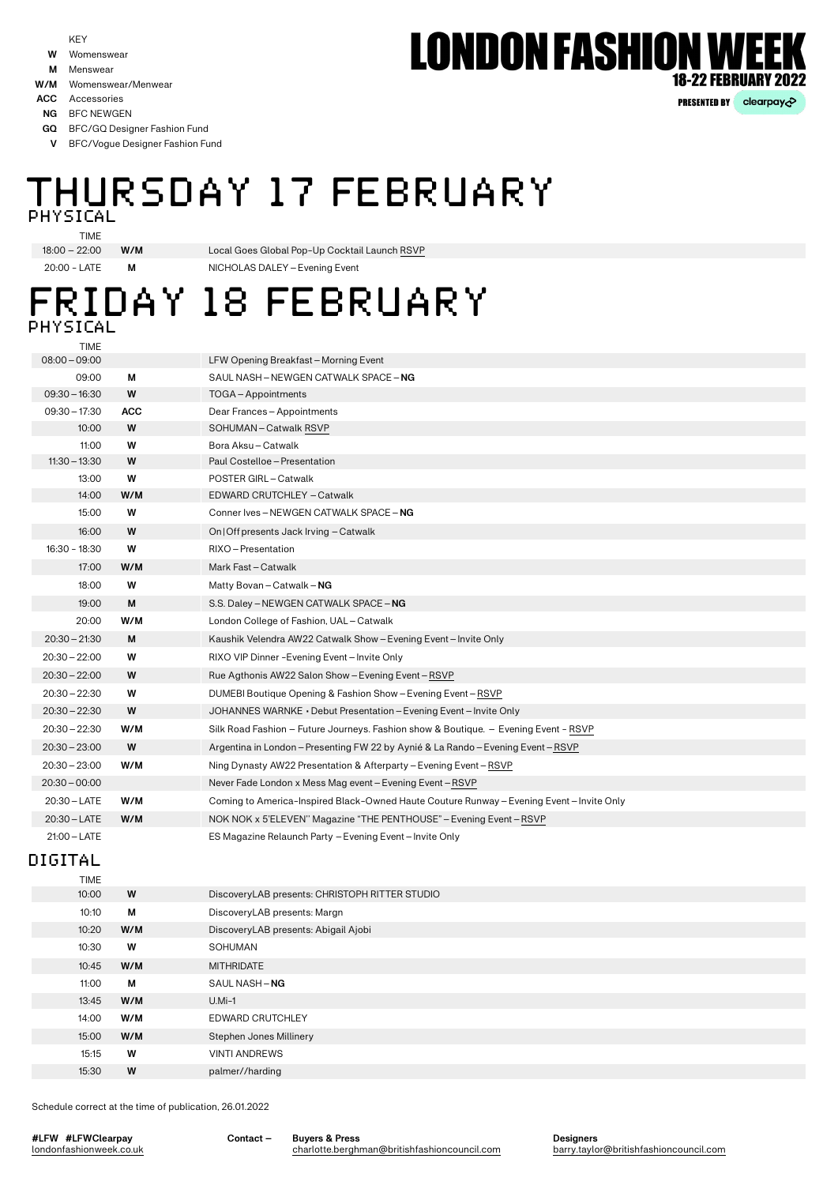- Womenswear **W**
- **M** Menswear
- **W/M** Womenswear/Menwear
- **ACC** Accessories
- **NG** BFC NEWGEN
- BFC/GQ Designer Fashion Fund **GQ**
- BFC/Vogue Designer Fashion Fund **V**

### THURSDAY 17 FEBRUARY PHYSICAL

TIME

20:00 - LATE **M** NICHOLAS DALEY–Evening Event 18:00 – 22:00 **W/M** Local Goes Global Pop-Up Cocktail Launch [RSVP](mailto:media%40mayconcepts.com?subject=RSVP)

### FRIDAY 18 FEBRUARY PHYSICAL

19:00 **M** 08:00–09:00 10:00 **W** 11:00 **W** 14:00 **W/M** 20:00 **W/M** 13:00 **W** 18:00 **W** 11:30–13:30 **W** 15:00 **W** 17:00 **W/M** 16:30 - 18:30 **W** 09:00 **M** 09:30–16:30 **W** 09:30–17:30 **ACC** 16:00 **W** 20:30–22:30 **W** 20:30–23:00 **W** 20:30–22:00 **W** 20:30–22:00 **W** 20:30–23:00 **W/M** 20:30–00:00 20:30–LATE **W/M** 20:30–LATE **W/M** TIME S.S. Daley–NEWGEN CATWALK SPACE–**NG** LFW Opening Breakfast–Morning Event SOHUMAN–Catwalk [RSVP](mailto:info%40sohumanbrand.com?subject=RSVP) Bora Aksu–Catwalk EDWARD CRUTCHLEY –Catwalk London College of Fashion, UAL–Catwalk POSTER GIRL–Catwalk Matty Bovan–Catwalk–**NG** Paul Costelloe–Presentation Conner Ives–NEWGEN CATWALK SPACE–**NG** Mark Fast–Catwalk RIXO–Presentation SAUL NASH–NEWGEN CATWALK SPACE–**NG** TOGA–Appointments Dear Frances–Appointments On|Offpresents Jack Irving –Catwalk JOHANNES WARNKE • Debut Presentation–Evening Event–Invite Only Argentina in London–Presenting FW 22 by Aynié & La Rando–Evening Event–[RSVP](mailto:show%40dyelog.co.uk?subject=RSVP) Rue Agthonis AW22 Salon Show–Evening Event–[RSVP](mailto:rueagthonis%40crescentfashion.co.uk?subject=RSVP) RIXO VIP Dinner -Evening Event–Invite Only Ning Dynasty AW22 Presentation & Afterparty–Evening Event–[RSVP](mailto:ningdynasty%40theatentive.com?subject=RSVP) Never Fade London x Mess Mag event–Evening Event[–RSVP](mailto:rcmargot%40gmail.com%20?subject=RSVP) NOK NOK x 5'ELEVEN'' Magazine "THE PENTHOUSE"–Evening Event–[RSVP](mailto:press%40noknoklondon.com?subject=RSVP) Coming to America-Inspired Black-Owned Haute Couture Runway–Evening Event–Invite Only 21:00–LATE ES Magazine Relaunch Party –Evening Event–Invite Only 20:30–21:30 **M** Kaushik Velendra AW22 Catwalk Show–Evening Event–Invite Only 20:30–22:30 **W** DUMEBI Boutique Opening & Fashion Show–Evening Event–[RSVP](mailto:isadora%40dumebifashion.com?subject=RSVP) 20:30 **W/M** Silk Road Fashion – Future Journeys. Fashion show & Boutique. – Evening Event - [RSVP](mailto:srfashion.london%40gmail.com?subject=RSVP)

### DIGITAL

| <b>TIME</b> |     |                                                |
|-------------|-----|------------------------------------------------|
| 10:00       | W   | DiscoveryLAB presents: CHRISTOPH RITTER STUDIO |
| 10:10       | М   | DiscoveryLAB presents: Margn                   |
| 10:20       | W/M | DiscoveryLAB presents: Abigail Ajobi           |
| 10:30       | W   | SOHUMAN                                        |
| 10:45       | W/M | <b>MITHRIDATE</b>                              |
| 11:00       | М   | SAUL NASH-NG                                   |
| 13:45       | W/M | $U.Mi-1$                                       |
| 14:00       | W/M | EDWARD CRUTCHLEY                               |
| 15:00       | W/M | Stephen Jones Millinery                        |
| 15:15       | W   | <b>VINTI ANDREWS</b>                           |
| 15:30       | W   | palmer//harding                                |
|             |     |                                                |

Schedule correct at the time of publication, 26.01.2022

**#LFW #LFWClearpay** londonfashionweek.co.uk **Contact – Buyers & Press**

**LONDON FASHION WEE** 

PRESENTED BY clearpay<sub>c</sub>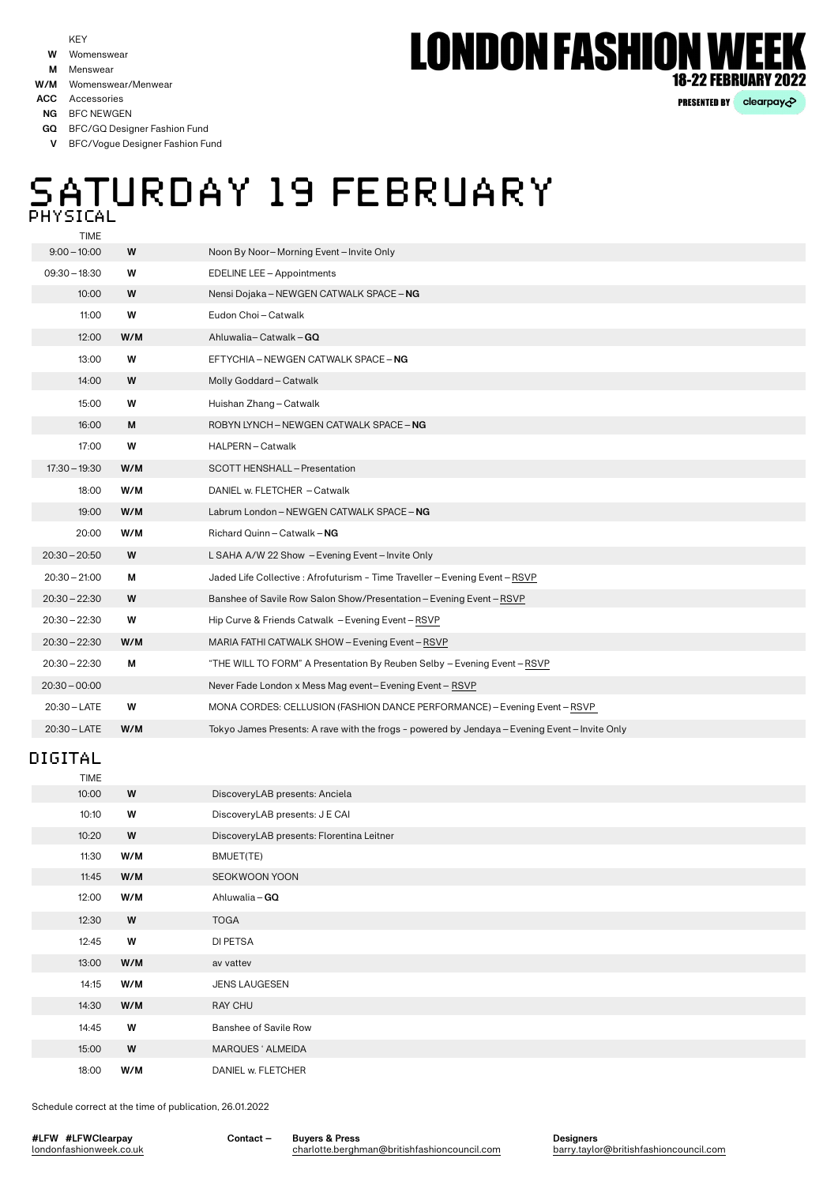KEY

- Womenswear **W**
- **M** Menswear
- **W/M** Womenswear/Menwear

**ACC** Accessories

**NG** BFC NEWGEN

BFC/GQ Designer Fashion Fund **GQ**

BFC/Vogue Designer Fashion Fund **V**

## SATURDAY 19 FEBRUARY **PHYSICAL**

TIME

| $9:00 - 10:00$  | W   | Noon By Noor-Morning Event-Invite Only                                                         |
|-----------------|-----|------------------------------------------------------------------------------------------------|
| $09:30 - 18:30$ | W   | EDELINE LEE - Appointments                                                                     |
| 10:00           | W   | Nensi Dojaka - NEWGEN CATWALK SPACE - NG                                                       |
| 11:00           | W   | Eudon Choi-Catwalk                                                                             |
| 12:00           | W/M | Ahluwalia-Catwalk-GQ                                                                           |
| 13:00           | W   | EFTYCHIA - NEWGEN CATWALK SPACE - NG                                                           |
| 14:00           | W   | Molly Goddard-Catwalk                                                                          |
| 15:00           | W   | Huishan Zhang-Catwalk                                                                          |
| 16:00           | М   | ROBYN LYNCH - NEWGEN CATWALK SPACE - NG                                                        |
| 17:00           | W   | HALPERN-Catwalk                                                                                |
| $17:30 - 19:30$ | W/M | SCOTT HENSHALL - Presentation                                                                  |
| 18:00           | W/M | DANIEL w. FLETCHER - Catwalk                                                                   |
| 19:00           | W/M | Labrum London - NEWGEN CATWALK SPACE - NG                                                      |
| 20:00           | W/M | Richard Quinn - Catwalk - NG                                                                   |
| $20:30 - 20:50$ | W   | L SAHA A/W 22 Show - Evening Event-Invite Only                                                 |
| $20:30 - 21:00$ | М   | Jaded Life Collective: Afrofuturism - Time Traveller - Evening Event - RSVP                    |
| $20:30 - 22:30$ | W   | Banshee of Savile Row Salon Show/Presentation - Evening Event - RSVP                           |
| $20:30 - 22:30$ | W   | Hip Curve & Friends Catwalk - Evening Event-RSVP                                               |
| $20:30 - 22:30$ | W/M | MARIA FATHI CATWALK SHOW - Evening Event - RSVP                                                |
| $20:30 - 22:30$ | M   | "THE WILL TO FORM" A Presentation By Reuben Selby - Evening Event - RSVP                       |
| $20:30 - 00:00$ |     | Never Fade London x Mess Mag event-Evening Event-RSVP                                          |
| $20:30 - LATE$  | W   | MONA CORDES: CELLUSION (FASHION DANCE PERFORMANCE) - Evening Event - RSVP                      |
| $20:30 - LATE$  | W/M | Tokyo James Presents: A rave with the frogs - powered by Jendaya - Evening Event - Invite Only |
|                 |     |                                                                                                |

### DIGITAL

| TIME  |     |                                           |
|-------|-----|-------------------------------------------|
| 10:00 | W   | DiscoveryLAB presents: Anciela            |
| 10:10 | W   | DiscoveryLAB presents: J E CAI            |
| 10:20 | W   | DiscoveryLAB presents: Florentina Leitner |
| 11:30 | W/M | BMUET(TE)                                 |
| 11:45 | W/M | SEOKWOON YOON                             |
| 12:00 | W/M | Ahluwalia - GO                            |
| 12:30 | W   | <b>TOGA</b>                               |
| 12:45 | W   | DI PETSA                                  |
| 13:00 | W/M | av vattev                                 |
| 14:15 | W/M | <b>JENS LAUGESEN</b>                      |
| 14:30 | W/M | RAY CHU                                   |
| 14:45 | W   | Banshee of Savile Row                     |
| 15:00 | W   | MARQUES ' ALMEIDA                         |
| 18:00 | W/M | DANIEL w. FLETCHER                        |
|       |     |                                           |

Schedule correct at the time of publication, 26.01.2022

**#LFW #LFWClearpay** londonfashionweek.co.uk **Contact – Buyers & Press**

[charlotte.berghman@britishfashioncouncil.com](mailto:charlotte.berghman%40britishfashioncouncil.com?subject=)

**Designers** [barry.taylor@britishfashioncouncil.com](mailto:barry.taylor%40britishfashioncouncil.com?subject=)

# **LONDON FASHION WE 18-22 FEBRUARY 2022**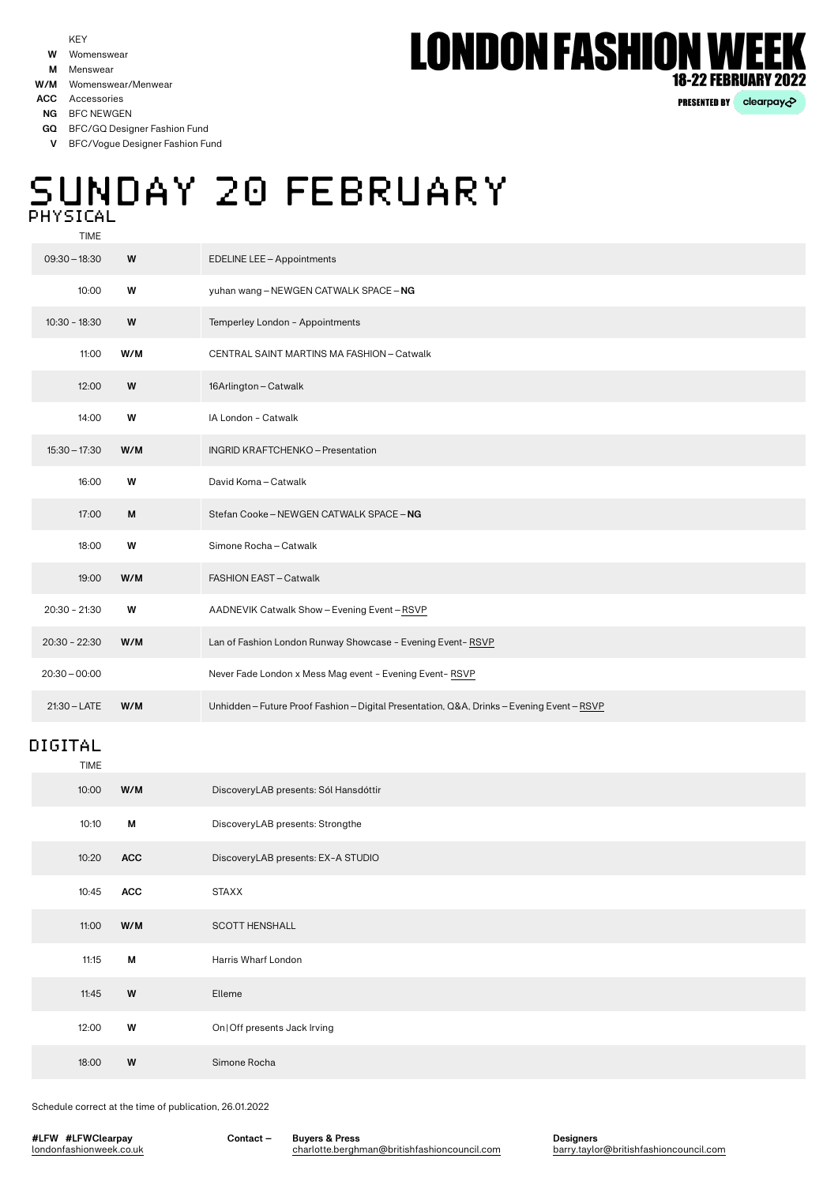#### Womenswear **W**

**M** Menswear

**ACC** Accessories

**NG** BFC NEWGEN

BFC/GQ Designer Fashion Fund **GQ**

BFC/Vogue Designer Fashion Fund **V**

## SUNDAY 20 FEBRUARY PHYSICAL

TIME

| $09:30 - 18:30$ | W   | <b>EDELINE LEE - Appointments</b>                                                          |  |
|-----------------|-----|--------------------------------------------------------------------------------------------|--|
| 10:00           | W   | yuhan wang - NEWGEN CATWALK SPACE - NG                                                     |  |
| $10:30 - 18:30$ | W   | Temperley London - Appointments                                                            |  |
| 11:00           | W/M | CENTRAL SAINT MARTINS MA FASHION - Catwalk                                                 |  |
| 12:00           | W   | 16Arlington - Catwalk                                                                      |  |
| 14:00           | W   | IA London - Catwalk                                                                        |  |
| $15:30 - 17:30$ | W/M | INGRID KRAFTCHENKO - Presentation                                                          |  |
| 16:00           | W   | David Koma - Catwalk                                                                       |  |
| 17:00           | M   | Stefan Cooke - NEWGEN CATWALK SPACE - NG                                                   |  |
| 18:00           | W   | Simone Rocha-Catwalk                                                                       |  |
| 19:00           | W/M | FASHION EAST - Catwalk                                                                     |  |
| $20:30 - 21:30$ | W   | AADNEVIK Catwalk Show - Evening Event - RSVP                                               |  |
| $20:30 - 22:30$ | W/M | Lan of Fashion London Runway Showcase - Evening Event-RSVP                                 |  |
| $20:30 - 00:00$ |     | Never Fade London x Mess Mag event - Evening Event-RSVP                                    |  |
| $21:30 - LATE$  | W/M | Unhidden - Future Proof Fashion - Digital Presentation, Q&A, Drinks - Evening Event - RSVP |  |
|                 |     |                                                                                            |  |

#### TIME DIGITAL

| $\blacksquare$ |            |                                       |
|----------------|------------|---------------------------------------|
| 10:00          | W/M        | DiscoveryLAB presents: Sól Hansdóttir |
| 10:10          | М          | DiscoveryLAB presents: Strongthe      |
| 10:20          | <b>ACC</b> | DiscoveryLAB presents: EX-A STUDIO    |
| 10:45          | ACC        | <b>STAXX</b>                          |
| 11:00          | W/M        | <b>SCOTT HENSHALL</b>                 |
| 11:15          | М          | Harris Wharf London                   |
| 11:45          | W          | Elleme                                |
| 12:00          | W          | On   Off presents Jack Irving         |
| 18:00          | W          | Simone Rocha                          |
|                |            |                                       |

Schedule correct at the time of publication, 26.01.2022

**#LFW #LFWClearpay** londonfashionweek.co.uk **Contact – Buyers & Press**

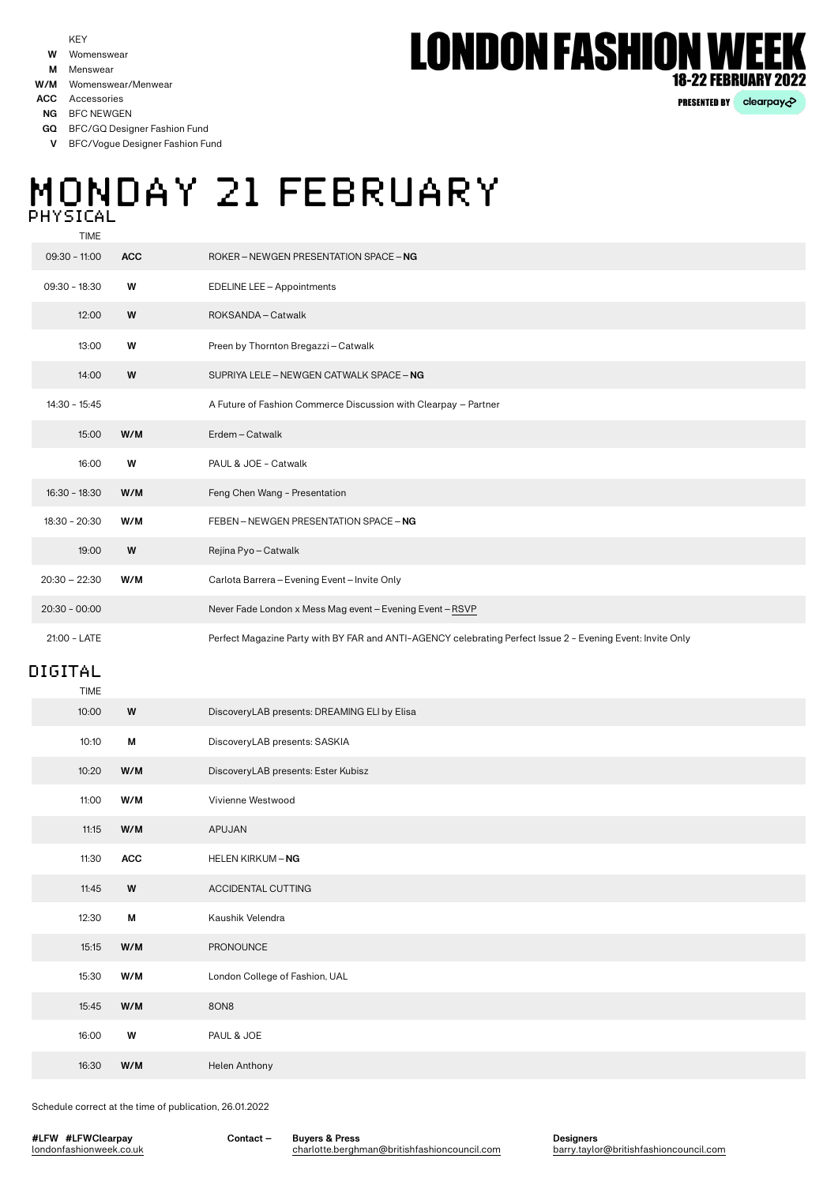#### Womenswear **W**

- **M** Menswear
- **W/M** Womenswear/Menwear

**ACC** Accessories

**NG** BFC NEWGEN

BFC/GQ Designer Fashion Fund **GQ**

BFC/Vogue Designer Fashion Fund **V**

## MONDAY 21 FEBRUARY **PHYSICAL**

TIME

| $09:30 - 11:00$ | <b>ACC</b> | ROKER – NEWGEN PRESENTATION SPACE – NG                                                                      |
|-----------------|------------|-------------------------------------------------------------------------------------------------------------|
| $09:30 - 18:30$ | W          | EDELINE LEE - Appointments                                                                                  |
| 12:00           | W          | ROKSANDA-Catwalk                                                                                            |
| 13:00           | W          | Preen by Thornton Bregazzi-Catwalk                                                                          |
| 14:00           | W          | SUPRIYA LELE - NEWGEN CATWALK SPACE - NG                                                                    |
| $14:30 - 15:45$ |            | A Future of Fashion Commerce Discussion with Clearpay - Partner                                             |
| 15:00           | W/M        | Erdem-Catwalk                                                                                               |
| 16:00           | W          | PAUL & JOE - Catwalk                                                                                        |
| $16:30 - 18:30$ | W/M        | Feng Chen Wang - Presentation                                                                               |
| $18:30 - 20:30$ | W/M        | FEBEN-NEWGEN PRESENTATION SPACE-NG                                                                          |
| 19:00           | W          | Rejina Pyo-Catwalk                                                                                          |
| $20:30 - 22:30$ | W/M        | Carlota Barrera - Evening Event - Invite Only                                                               |
| $20:30 - 00:00$ |            | Never Fade London x Mess Mag event - Evening Event - RSVP                                                   |
| 21:00 - LATE    |            | Perfect Magazine Party with BY FAR and ANTI-AGENCY celebrating Perfect Issue 2 - Evening Event: Invite Only |

### DIGITAL

| TIME  |     |                                              |
|-------|-----|----------------------------------------------|
| 10:00 | W   | DiscoveryLAB presents: DREAMING ELI by Elisa |
| 10:10 | М   | DiscoveryLAB presents: SASKIA                |
| 10:20 | W/M | DiscoveryLAB presents: Ester Kubisz          |
| 11:00 | W/M | Vivienne Westwood                            |
| 11:15 | W/M | APUJAN                                       |
| 11:30 | ACC | HELEN KIRKUM - NG                            |
| 11:45 | W   | ACCIDENTAL CUTTING                           |
| 12:30 | M   | Kaushik Velendra                             |
| 15:15 | W/M | PRONOUNCE                                    |
| 15:30 | W/M | London College of Fashion, UAL               |
| 15:45 | W/M | 8ON8                                         |
| 16:00 | W   | PAUL & JOE                                   |
| 16:30 | W/M | Helen Anthony                                |
|       |     |                                              |

Schedule correct at the time of publication, 26.01.2022

**#LFW #LFWClearpay** londonfashionweek.co.uk **Contact – Buyers & Press**

[charlotte.berghman@britishfashioncouncil.com](mailto:charlotte.berghman%40britishfashioncouncil.com?subject=)

**Designers** [barry.taylor@britishfashioncouncil.com](mailto:barry.taylor%40britishfashioncouncil.com?subject=)

# **LONDON FASHION WE 18-22 FEBRUARY 2022**